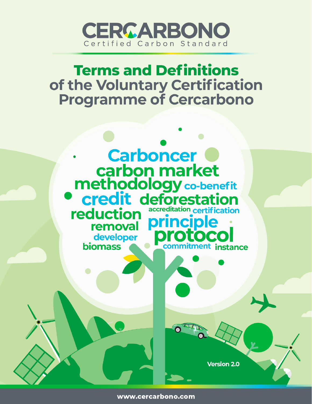

# **Terms and Definitions** of the Voluntary Certification **Programme of Cercarbono**



www.cercarbono.com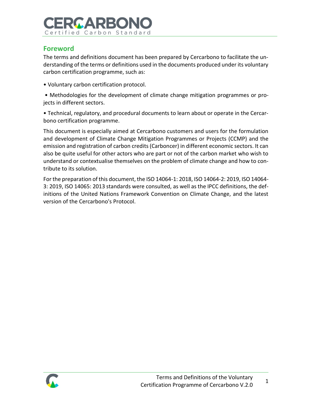# RGARRON Certified Carbon Standard

## **Foreword**

The terms and definitions document has been prepared by Cercarbono to facilitate the understanding of the terms or definitions used in the documents produced under its voluntary carbon certification programme, such as:

• Voluntary carbon certification protocol.

• Methodologies for the development of climate change mitigation programmes or projects in different sectors.

• Technical, regulatory, and procedural documents to learn about or operate in the Cercarbono certification programme.

This document is especially aimed at Cercarbono customers and users for the formulation and development of Climate Change Mitigation Programmes or Projects (CCMP) and the emission and registration of carbon credits (Carboncer) in different economic sectors. It can also be quite useful for other actors who are part or not of the carbon market who wish to understand or contextualise themselves on the problem of climate change and how to contribute to its solution.

For the preparation of this document, the ISO 14064-1: 2018, ISO 14064-2: 2019, ISO 14064- 3: 2019, ISO 14065: 2013 standards were consulted, as well as the IPCC definitions, the definitions of the United Nations Framework Convention on Climate Change, and the latest version of the Cercarbono's Protocol.

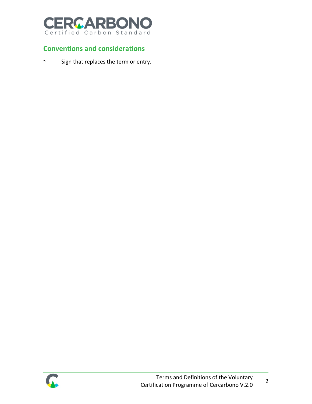

## **Conventions and considerations**

~ Sign that replaces the term or entry.

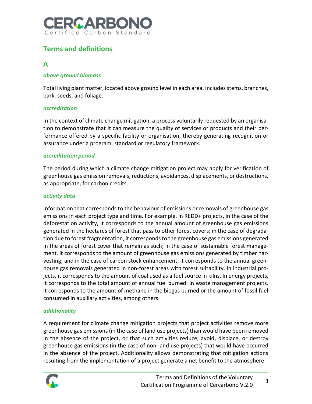

## **Terms and definitions**

## **A**

## *above ground biomass*

Total living plant matter, located above ground level in each area. Includes stems, branches, bark, seeds, and foliage.

## *accreditation*

In the context of climate change mitigation, a process voluntarily requested by an organisation to demonstrate that it can measure the quality of services or products and their performance offered by a specific facility or organisation, thereby generating recognition or assurance under a program, standard or regulatory framework.

#### *accreditation period*

The period during which a climate change mitigation project may apply for verification of greenhouse gas emission removals, reductions, avoidances, displacements, or destructions, as appropriate, for carbon credits.

### *activity data*

Information that corresponds to the behaviour of emissions or removals of greenhouse gas emissions in each project type and time. For example, in REDD+ projects, in the case of the deforestation activity, it corresponds to the annual amount of greenhouse gas emissions generated in the hectares of forest that pass to other forest covers; in the case of degradation due to forest fragmentation, it corresponds to the greenhouse gas emissions generated in the areas of forest cover that remain as such; in the case of sustainable forest management, it corresponds to the amount of greenhouse gas emissions generated by timber harvesting; and in the case of carbon stock enhancement, it corresponds to the annual greenhouse gas removals generated in non-forest areas with forest suitability. In industrial projects, it corresponds to the amount of coal used as a fuel source in kilns. In energy projects, it corresponds to the total amount of annual fuel burned. In waste management projects, it corresponds to the amount of methane in the biogas burned or the amount of fossil fuel consumed in auxiliary activities, among others.

## *additionality*

A requirement for climate change mitigation projects that project activities remove more greenhouse gas emissions (in the case of land use projects) than would have been removed in the absence of the project, or that such activities reduce, avoid, displace, or destroy greenhouse gas emissions (in the case of non-land use projects) that would have occurred in the absence of the project. Additionality allows demonstrating that mitigation actions resulting from the implementation of a project generate a net benefit to the atmosphere.

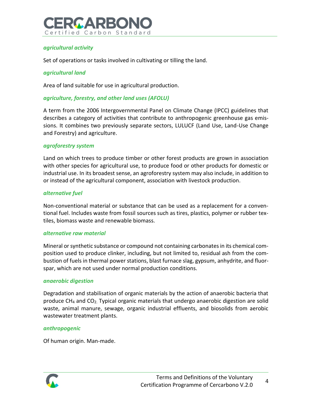

## *agricultural activity*

Set of operations or tasks involved in cultivating or tilling the land.

### *agricultural land*

Area of land suitable for use in agricultural production.

### *agriculture, forestry, and other land uses (AFOLU)*

A term from the 2006 Intergovernmental Panel on Climate Change (IPCC) guidelines that describes a category of activities that contribute to anthropogenic greenhouse gas emissions. It combines two previously separate sectors, LULUCF (Land Use, Land-Use Change and Forestry) and agriculture.

#### *agroforestry system*

Land on which trees to produce timber or other forest products are grown in association with other species for agricultural use, to produce food or other products for domestic or industrial use. In its broadest sense, an agroforestry system may also include, in addition to or instead of the agricultural component, association with livestock production.

#### *alternative fuel*

Non-conventional material or substance that can be used as a replacement for a conventional fuel. Includes waste from fossil sources such as tires, plastics, polymer or rubber textiles, biomass waste and renewable biomass.

#### *alternative raw material*

Mineral or synthetic substance or compound not containing carbonates in its chemical composition used to produce clinker, including, but not limited to, residual ash from the combustion of fuels in thermal power stations, blast furnace slag, gypsum, anhydrite, and fluorspar, which are not used under normal production conditions.

#### *anaerobic digestion*

Degradation and stabilisation of organic materials by the action of anaerobic bacteria that produce  $CH_4$  and  $CO_2$ . Typical organic materials that undergo anaerobic digestion are solid waste, animal manure, sewage, organic industrial effluents, and biosolids from aerobic wastewater treatment plants.

#### *anthropogenic*

Of human origin. Man-made.

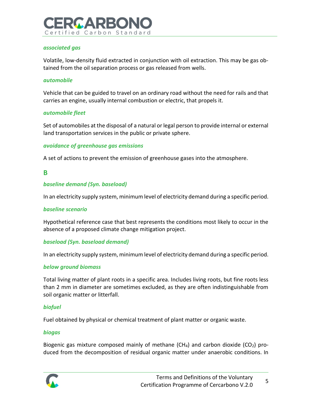

### *associated gas*

Volatile, low-density fluid extracted in conjunction with oil extraction. This may be gas obtained from the oil separation process or gas released from wells.

#### *automobile*

Vehicle that can be guided to travel on an ordinary road without the need for rails and that carries an engine, usually internal combustion or electric, that propels it.

### *automobile fleet*

Set of automobiles at the disposal of a natural or legal person to provide internal or external land transportation services in the public or private sphere.

### *avoidance of greenhouse gas emissions*

A set of actions to prevent the emission of greenhouse gases into the atmosphere.

## **B**

## *baseline demand (Syn. baseload)*

In an electricity supply system, minimum level of electricity demand during a specific period.

#### *baseline scenario*

Hypothetical reference case that best represents the conditions most likely to occur in the absence of a proposed climate change mitigation project.

## *baseload (Syn. baseload demand)*

In an electricity supply system, minimum level of electricity demand during a specific period.

## *below ground biomass*

Total living matter of plant roots in a specific area. Includes living roots, but fine roots less than 2 mm in diameter are sometimes excluded, as they are often indistinguishable from soil organic matter or litterfall.

#### *biofuel*

Fuel obtained by physical or chemical treatment of plant matter or organic waste.

#### *biogas*

Biogenic gas mixture composed mainly of methane (CH<sub>4</sub>) and carbon dioxide (CO<sub>2</sub>) produced from the decomposition of residual organic matter under anaerobic conditions. In

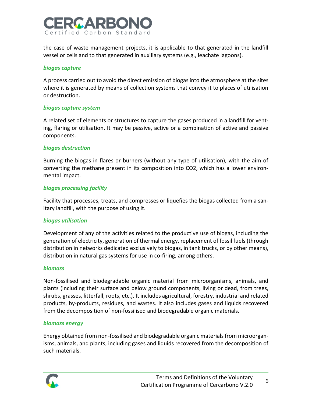

the case of waste management projects, it is applicable to that generated in the landfill vessel or cells and to that generated in auxiliary systems (e.g., leachate lagoons).

#### *biogas capture*

A process carried out to avoid the direct emission of biogas into the atmosphere at the sites where it is generated by means of collection systems that convey it to places of utilisation or destruction.

#### *biogas capture system*

A related set of elements or structures to capture the gases produced in a landfill for venting, flaring or utilisation. It may be passive, active or a combination of active and passive components.

## *biogas destruction*

Burning the biogas in flares or burners (without any type of utilisation), with the aim of converting the methane present in its composition into CO2, which has a lower environmental impact.

### *biogas processing facility*

Facility that processes, treats, and compresses or liquefies the biogas collected from a sanitary landfill, with the purpose of using it.

#### *biogas utilisation*

Development of any of the activities related to the productive use of biogas, including the generation of electricity, generation of thermal energy, replacement of fossil fuels (through distribution in networks dedicated exclusively to biogas, in tank trucks, or by other means), distribution in natural gas systems for use in co-firing, among others.

#### *biomass*

Non-fossilised and biodegradable organic material from microorganisms, animals, and plants (including their surface and below ground components, living or dead, from trees, shrubs, grasses, litterfall, roots, etc.). It includes agricultural, forestry, industrial and related products, by-products, residues, and wastes. It also includes gases and liquids recovered from the decomposition of non-fossilised and biodegradable organic materials.

#### *biomass energy*

Energy obtained from non-fossilised and biodegradable organic materials from microorganisms, animals, and plants, including gases and liquids recovered from the decomposition of such materials.

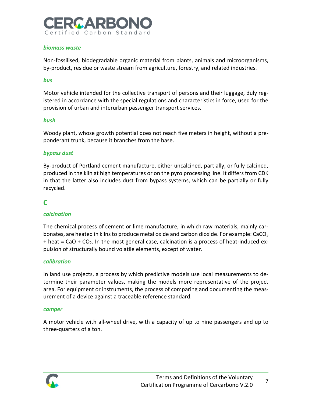# **GAPR** Certified Carbon Standard

## *biomass waste*

Non-fossilised, biodegradable organic material from plants, animals and microorganisms, by-product, residue or waste stream from agriculture, forestry, and related industries.

#### *bus*

Motor vehicle intended for the collective transport of persons and their luggage, duly registered in accordance with the special regulations and characteristics in force, used for the provision of urban and interurban passenger transport services.

#### *bush*

Woody plant, whose growth potential does not reach five meters in height, without a preponderant trunk, because it branches from the base.

#### *bypass dust*

By-product of Portland cement manufacture, either uncalcined, partially, or fully calcined, produced in the kiln at high temperatures or on the pyro processing line. It differs from CDK in that the latter also includes dust from bypass systems, which can be partially or fully recycled.

## **C**

## *calcination*

The chemical process of cement or lime manufacture, in which raw materials, mainly carbonates, are heated in kilns to produce metal oxide and carbon dioxide. For example:  $CaCO<sub>3</sub>$  $+$  heat = CaO  $+$  CO<sub>2</sub>. In the most general case, calcination is a process of heat-induced expulsion of structurally bound volatile elements, except of water.

#### *calibration*

In land use projects, a process by which predictive models use local measurements to determine their parameter values, making the models more representative of the project area. For equipment or instruments, the process of comparing and documenting the measurement of a device against a traceable reference standard.

#### *camper*

A motor vehicle with all-wheel drive, with a capacity of up to nine passengers and up to three-quarters of a ton.

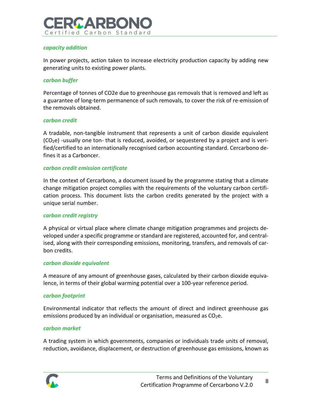

### *capacity addition*

In power projects, action taken to increase electricity production capacity by adding new generating units to existing power plants.

#### *carbon buffer*

Percentage of tonnes of CO2e due to greenhouse gas removals that is removed and left as a guarantee of long-term permanence of such removals, to cover the risk of re-emission of the removals obtained.

#### *carbon credit*

A tradable, non-tangible instrument that represents a unit of carbon dioxide equivalent (CO2e) -usually one ton- that is reduced, avoided, or sequestered by a project and is verified/certified to an internationally recognised carbon accounting standard. Cercarbono defines it as a Carboncer.

#### *carbon credit emission certificate*

In the context of Cercarbono, a document issued by the programme stating that a climate change mitigation project complies with the requirements of the voluntary carbon certification process. This document lists the carbon credits generated by the project with a unique serial number.

#### *carbon credit registry*

A physical or virtual place where climate change mitigation programmes and projects developed under a specific programme or standard are registered, accounted for, and centralised, along with their corresponding emissions, monitoring, transfers, and removals of carbon credits.

#### *carbon dioxide equivalent*

A measure of any amount of greenhouse gases, calculated by their carbon dioxide equivalence, in terms of their global warming potential over a 100-year reference period.

#### *carbon footprint*

Environmental indicator that reflects the amount of direct and indirect greenhouse gas emissions produced by an individual or organisation, measured as  $CO<sub>2</sub>e$ .

#### *carbon market*

A trading system in which governments, companies or individuals trade units of removal, reduction, avoidance, displacement, or destruction of greenhouse gas emissions, known as

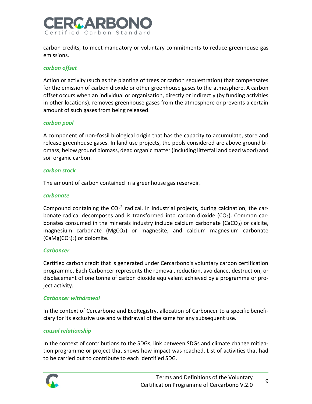

carbon credits, to meet mandatory or voluntary commitments to reduce greenhouse gas emissions.

#### *carbon offset*

Action or activity (such as the planting of trees or carbon sequestration) that compensates for the emission of carbon dioxide or other greenhouse gases to the atmosphere. A carbon offset occurs when an individual or organisation, directly or indirectly (by funding activities in other locations), removes greenhouse gases from the atmosphere or prevents a certain amount of such gases from being released.

#### *carbon pool*

A component of non-fossil biological origin that has the capacity to accumulate, store and release greenhouse gases. In land use projects, the pools considered are above ground biomass, below ground biomass, dead organic matter (including litterfall and dead wood) and soil organic carbon.

### *carbon stock*

The amount of carbon contained in a greenhouse gas reservoir.

### *carbonate*

Compound containing the  $CO<sub>3</sub><sup>2</sup>$  radical. In industrial projects, during calcination, the carbonate radical decomposes and is transformed into carbon dioxide  $(CO<sub>2</sub>)$ . Common carbonates consumed in the minerals industry include calcium carbonate ( $CaCO<sub>3</sub>$ ) or calcite, magnesium carbonate ( $MgCO<sub>3</sub>$ ) or magnesite, and calcium magnesium carbonate  $(CaMg(CO<sub>3</sub>)<sub>2</sub>)$  or dolomite.

## *Carboncer*

Certified carbon credit that is generated under Cercarbono's voluntary carbon certification programme. Each Carboncer represents the removal, reduction, avoidance, destruction, or displacement of one tonne of carbon dioxide equivalent achieved by a programme or project activity.

## *Carboncer withdrawal*

In the context of Cercarbono and EcoRegistry, allocation of Carboncer to a specific beneficiary for its exclusive use and withdrawal of the same for any subsequent use.

## *causal relationship*

In the context of contributions to the SDGs, link between SDGs and climate change mitigation programme or project that shows how impact was reached. List of activities that had to be carried out to contribute to each identified SDG.

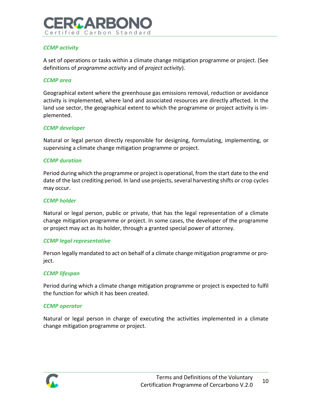

## *CCMP activity*

A set of operations or tasks within a climate change mitigation programme or project. (See definitions of *programme activity* and of *project activity*).

#### *CCMP area*

Geographical extent where the greenhouse gas emissions removal, reduction or avoidance activity is implemented, where land and associated resources are directly affected. In the land use sector, the geographical extent to which the programme or project activity is implemented.

### *CCMP developer*

Natural or legal person directly responsible for designing, formulating, implementing, or supervising a climate change mitigation programme or project.

#### *CCMP duration*

Period during which the programme or project is operational, from the start date to the end date of the last crediting period. In land use projects, several harvesting shifts or crop cycles may occur.

#### *CCMP holder*

Natural or legal person, public or private, that has the legal representation of a climate change mitigation programme or project. In some cases, the developer of the programme or project may act as its holder, through a granted special power of attorney.

#### *CCMP legal representative*

Person legally mandated to act on behalf of a climate change mitigation programme or project.

#### *CCMP lifespan*

Period during which a climate change mitigation programme or project is expected to fulfil the function for which it has been created.

#### *CCMP operator*

Natural or legal person in charge of executing the activities implemented in a climate change mitigation programme or project.

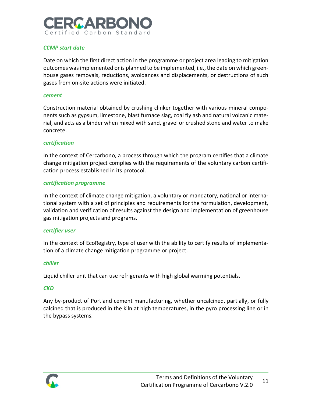# MA PR Certified Carbon Standard

## *CCMP start date*

Date on which the first direct action in the programme or project area leading to mitigation outcomes was implemented or is planned to be implemented, i.e., the date on which greenhouse gases removals, reductions, avoidances and displacements, or destructions of such gases from on-site actions were initiated.

#### *cement*

Construction material obtained by crushing clinker together with various mineral components such as gypsum, limestone, blast furnace slag, coal fly ash and natural volcanic material, and acts as a binder when mixed with sand, gravel or crushed stone and water to make concrete.

#### *certification*

In the context of Cercarbono, a process through which the program certifies that a climate change mitigation project complies with the requirements of the voluntary carbon certification process established in its protocol.

#### *certification programme*

In the context of climate change mitigation, a voluntary or mandatory, national or international system with a set of principles and requirements for the formulation, development, validation and verification of results against the design and implementation of greenhouse gas mitigation projects and programs.

#### *certifier user*

In the context of EcoRegistry, type of user with the ability to certify results of implementation of a climate change mitigation programme or project.

#### *chiller*

Liquid chiller unit that can use refrigerants with high global warming potentials.

#### *CKD*

Any by-product of Portland cement manufacturing, whether uncalcined, partially, or fully calcined that is produced in the kiln at high temperatures, in the pyro processing line or in the bypass systems.

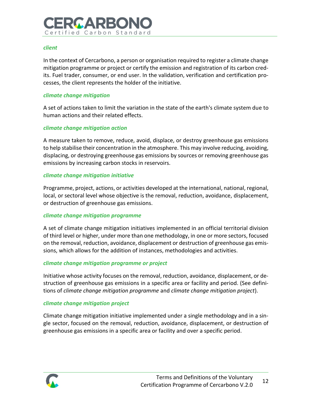# IMA PEK Certified Carbon Standard

## *client*

In the context of Cercarbono, a person or organisation required to register a climate change mitigation programme or project or certify the emission and registration of its carbon credits. Fuel trader, consumer, or end user. In the validation, verification and certification processes, the client represents the holder of the initiative.

## *climate change mitigation*

A set of actions taken to limit the variation in the state of the earth's climate system due to human actions and their related effects.

## *climate change mitigation action*

A measure taken to remove, reduce, avoid, displace, or destroy greenhouse gas emissions to help stabilise their concentration in the atmosphere. This may involve reducing, avoiding, displacing, or destroying greenhouse gas emissions by sources or removing greenhouse gas emissions by increasing carbon stocks in reservoirs.

## *climate change mitigation initiative*

Programme, project, actions, or activities developed at the international, national, regional, local, or sectoral level whose objective is the removal, reduction, avoidance, displacement, or destruction of greenhouse gas emissions.

## *climate change mitigation programme*

A set of climate change mitigation initiatives implemented in an official territorial division of third level or higher, under more than one methodology, in one or more sectors, focused on the removal, reduction, avoidance, displacement or destruction of greenhouse gas emissions, which allows for the addition of instances, methodologies and activities.

## *climate change mitigation programme or project*

Initiative whose activity focuses on the removal, reduction, avoidance, displacement, or destruction of greenhouse gas emissions in a specific area or facility and period. (See definitions of *climate change mitigation programme* and *climate change mitigation project*).

## *climate change mitigation project*

Climate change mitigation initiative implemented under a single methodology and in a single sector, focused on the removal, reduction, avoidance, displacement, or destruction of greenhouse gas emissions in a specific area or facility and over a specific period.

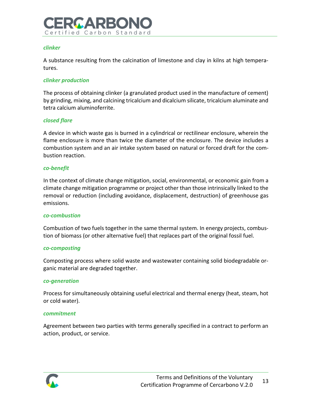# **GARR** Certified Carbon Standard

## *clinker*

A substance resulting from the calcination of limestone and clay in kilns at high temperatures.

## *clinker production*

The process of obtaining clinker (a granulated product used in the manufacture of cement) by grinding, mixing, and calcining tricalcium and dicalcium silicate, tricalcium aluminate and tetra calcium aluminoferrite.

## *closed flare*

A device in which waste gas is burned in a cylindrical or rectilinear enclosure, wherein the flame enclosure is more than twice the diameter of the enclosure. The device includes a combustion system and an air intake system based on natural or forced draft for the combustion reaction.

## *co-benefit*

In the context of climate change mitigation, social, environmental, or economic gain from a climate change mitigation programme or project other than those intrinsically linked to the removal or reduction (including avoidance, displacement, destruction) of greenhouse gas emissions.

#### *co-combustion*

Combustion of two fuels together in the same thermal system. In energy projects, combustion of biomass (or other alternative fuel) that replaces part of the original fossil fuel.

#### *co-composting*

Composting process where solid waste and wastewater containing solid biodegradable organic material are degraded together.

## *co-generation*

Process for simultaneously obtaining useful electrical and thermal energy (heat, steam, hot or cold water).

#### *commitment*

Agreement between two parties with terms generally specified in a contract to perform an action, product, or service.

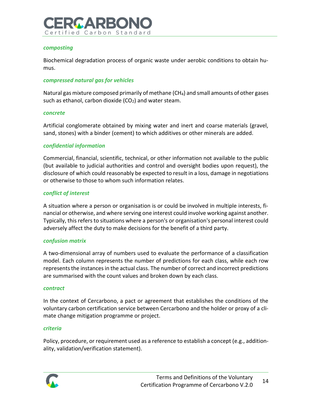

#### *composting*

Biochemical degradation process of organic waste under aerobic conditions to obtain humus.

### *compressed natural gas for vehicles*

Natural gas mixture composed primarily of methane (CH4) and small amounts of other gases such as ethanol, carbon dioxide  $(CO<sub>2</sub>)$  and water steam.

#### *concrete*

Artificial conglomerate obtained by mixing water and inert and coarse materials (gravel, sand, stones) with a binder (cement) to which additives or other minerals are added.

#### *confidential information*

Commercial, financial, scientific, technical, or other information not available to the public (but available to judicial authorities and control and oversight bodies upon request), the disclosure of which could reasonably be expected to result in a loss, damage in negotiations or otherwise to those to whom such information relates.

#### *conflict of interest*

A situation where a person or organisation is or could be involved in multiple interests, financial or otherwise, and where serving one interest could involve working against another. Typically, this refers to situations where a person's or organisation's personal interest could adversely affect the duty to make decisions for the benefit of a third party.

#### *confusion matrix*

A two-dimensional array of numbers used to evaluate the performance of a classification model. Each column represents the number of predictions for each class, while each row represents the instances in the actual class. The number of correct and incorrect predictions are summarised with the count values and broken down by each class.

#### *contract*

In the context of Cercarbono, a pact or agreement that establishes the conditions of the voluntary carbon certification service between Cercarbono and the holder or proxy of a climate change mitigation programme or project.

#### *criteria*

Policy, procedure, or requirement used as a reference to establish a concept (e.g., additionality, validation/verification statement).

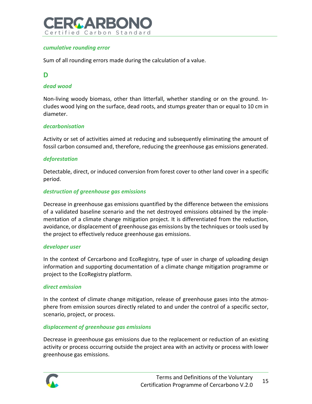

## *cumulative rounding error*

Sum of all rounding errors made during the calculation of a value.

## **D**

### *dead wood*

Non-living woody biomass, other than litterfall, whether standing or on the ground. Includes wood lying on the surface, dead roots, and stumps greater than or equal to 10 cm in diameter.

#### *decarbonisation*

Activity or set of activities aimed at reducing and subsequently eliminating the amount of fossil carbon consumed and, therefore, reducing the greenhouse gas emissions generated.

### *deforestation*

Detectable, direct, or induced conversion from forest cover to other land cover in a specific period.

### *destruction of greenhouse gas emissions*

Decrease in greenhouse gas emissions quantified by the difference between the emissions of a validated baseline scenario and the net destroyed emissions obtained by the implementation of a climate change mitigation project. It is differentiated from the reduction, avoidance, or displacement of greenhouse gas emissions by the techniques or tools used by the project to effectively reduce greenhouse gas emissions.

#### *developer user*

In the context of Cercarbono and EcoRegistry, type of user in charge of uploading design information and supporting documentation of a climate change mitigation programme or project to the EcoRegistry platform.

#### *direct emission*

In the context of climate change mitigation, release of greenhouse gases into the atmosphere from emission sources directly related to and under the control of a specific sector, scenario, project, or process.

#### *displacement of greenhouse gas emissions*

Decrease in greenhouse gas emissions due to the replacement or reduction of an existing activity or process occurring outside the project area with an activity or process with lower greenhouse gas emissions.

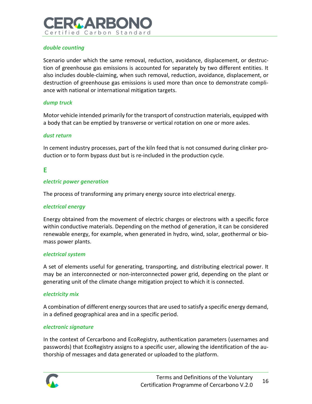

## *double counting*

Scenario under which the same removal, reduction, avoidance, displacement, or destruction of greenhouse gas emissions is accounted for separately by two different entities. It also includes double-claiming, when such removal, reduction, avoidance, displacement, or destruction of greenhouse gas emissions is used more than once to demonstrate compliance with national or international mitigation targets.

### *dump truck*

Motor vehicle intended primarily for the transport of construction materials, equipped with a body that can be emptied by transverse or vertical rotation on one or more axles.

#### *dust return*

In cement industry processes, part of the kiln feed that is not consumed during clinker production or to form bypass dust but is re-included in the production cycle.

## **E**

### *electric power generation*

The process of transforming any primary energy source into electrical energy.

#### *electrical energy*

Energy obtained from the movement of electric charges or electrons with a specific force within conductive materials. Depending on the method of generation, it can be considered renewable energy, for example, when generated in hydro, wind, solar, geothermal or biomass power plants.

#### *electrical system*

A set of elements useful for generating, transporting, and distributing electrical power. It may be an interconnected or non-interconnected power grid, depending on the plant or generating unit of the climate change mitigation project to which it is connected.

#### *electricity mix*

A combination of different energy sources that are used to satisfy a specific energy demand, in a defined geographical area and in a specific period.

## *electronic signature*

In the context of Cercarbono and EcoRegistry, authentication parameters (usernames and passwords) that EcoRegistry assigns to a specific user, allowing the identification of the authorship of messages and data generated or uploaded to the platform.

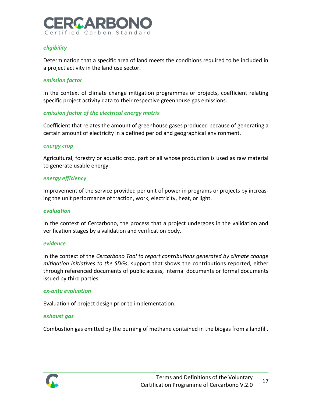

## *eligibility*

Determination that a specific area of land meets the conditions required to be included in a project activity in the land use sector.

### *emission factor*

In the context of climate change mitigation programmes or projects, coefficient relating specific project activity data to their respective greenhouse gas emissions.

### *emission factor of the electrical energy matrix*

Coefficient that relates the amount of greenhouse gases produced because of generating a certain amount of electricity in a defined period and geographical environment.

#### *energy crop*

Agricultural, forestry or aquatic crop, part or all whose production is used as raw material to generate usable energy.

#### *energy efficiency*

Improvement of the service provided per unit of power in programs or projects by increasing the unit performance of traction, work, electricity, heat, or light.

#### *evaluation*

In the context of Cercarbono, the process that a project undergoes in the validation and verification stages by a validation and verification body.

#### *evidence*

In the context of the *Cercarbono Tool to report contributions generated by climate change mitigation initiatives to the SDGs*, support that shows the contributions reported, either through referenced documents of public access, internal documents or formal documents issued by third parties.

#### *ex-ante evaluation*

Evaluation of project design prior to implementation.

#### *exhaust gas*

Combustion gas emitted by the burning of methane contained in the biogas from a landfill.

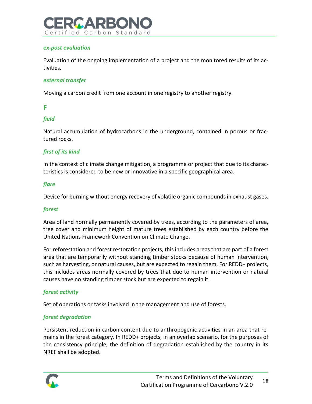

### *ex-post evaluation*

Evaluation of the ongoing implementation of a project and the monitored results of its activities.

#### *external transfer*

Moving a carbon credit from one account in one registry to another registry.

## **F**

## *field*

Natural accumulation of hydrocarbons in the underground, contained in porous or fractured rocks.

## *first of its kind*

In the context of climate change mitigation, a programme or project that due to its characteristics is considered to be new or innovative in a specific geographical area.

### *flare*

Device for burning without energy recovery of volatile organic compounds in exhaust gases.

#### *forest*

Area of land normally permanently covered by trees, according to the parameters of area, tree cover and minimum height of mature trees established by each country before the United Nations Framework Convention on Climate Change.

For reforestation and forest restoration projects, this includes areas that are part of a forest area that are temporarily without standing timber stocks because of human intervention, such as harvesting, or natural causes, but are expected to regain them. For REDD+ projects, this includes areas normally covered by trees that due to human intervention or natural causes have no standing timber stock but are expected to regain it.

## *forest activity*

Set of operations or tasks involved in the management and use of forests.

## *forest degradation*

Persistent reduction in carbon content due to anthropogenic activities in an area that remains in the forest category. In REDD+ projects, in an overlap scenario, for the purposes of the consistency principle, the definition of degradation established by the country in its NREF shall be adopted.

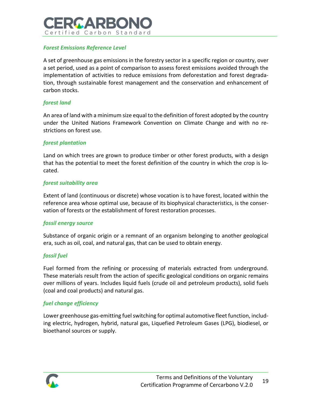

## *Forest Emissions Reference Level*

A set of greenhouse gas emissions in the forestry sector in a specific region or country, over a set period, used as a point of comparison to assess forest emissions avoided through the implementation of activities to reduce emissions from deforestation and forest degradation, through sustainable forest management and the conservation and enhancement of carbon stocks.

## *forest land*

An area of land with a minimum size equal to the definition of forest adopted by the country under the United Nations Framework Convention on Climate Change and with no restrictions on forest use.

### *forest plantation*

Land on which trees are grown to produce timber or other forest products, with a design that has the potential to meet the forest definition of the country in which the crop is located.

### *forest suitability area*

Extent of land (continuous or discrete) whose vocation is to have forest, located within the reference area whose optimal use, because of its biophysical characteristics, is the conservation of forests or the establishment of forest restoration processes.

#### *fossil energy source*

Substance of organic origin or a remnant of an organism belonging to another geological era, such as oil, coal, and natural gas, that can be used to obtain energy.

## *fossil fuel*

Fuel formed from the refining or processing of materials extracted from underground. These materials result from the action of specific geological conditions on organic remains over millions of years. Includes liquid fuels (crude oil and petroleum products), solid fuels (coal and coal products) and natural gas.

## *fuel change efficiency*

Lower greenhouse gas-emitting fuel switching for optimal automotive fleet function, including electric, hydrogen, hybrid, natural gas, Liquefied Petroleum Gases (LPG), biodiesel, or bioethanol sources or supply.

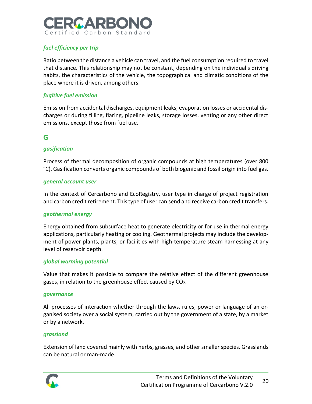# 20 A R R Certified Carbon Standard

## *fuel efficiency per trip*

Ratio between the distance a vehicle can travel, and the fuel consumption required to travel that distance. This relationship may not be constant, depending on the individual's driving habits, the characteristics of the vehicle, the topographical and climatic conditions of the place where it is driven, among others.

## *fugitive fuel emission*

Emission from accidental discharges, equipment leaks, evaporation losses or accidental discharges or during filling, flaring, pipeline leaks, storage losses, venting or any other direct emissions, except those from fuel use.

## **G**

## *gasification*

Process of thermal decomposition of organic compounds at high temperatures (over 800 °C). Gasification converts organic compounds of both biogenic and fossil origin into fuel gas.

## *general account user*

In the context of Cercarbono and EcoRegistry, user type in charge of project registration and carbon credit retirement. This type of user can send and receive carbon credit transfers.

## *geothermal energy*

Energy obtained from subsurface heat to generate electricity or for use in thermal energy applications, particularly heating or cooling. Geothermal projects may include the development of power plants, plants, or facilities with high-temperature steam harnessing at any level of reservoir depth.

## *global warming potential*

Value that makes it possible to compare the relative effect of the different greenhouse gases, in relation to the greenhouse effect caused by  $CO<sub>2</sub>$ .

#### *governance*

All processes of interaction whether through the laws, rules, power or language of an organised society over a social system, carried out by the government of a state, by a market or by a network.

#### *grassland*

Extension of land covered mainly with herbs, grasses, and other smaller species. Grasslands can be natural or man-made.

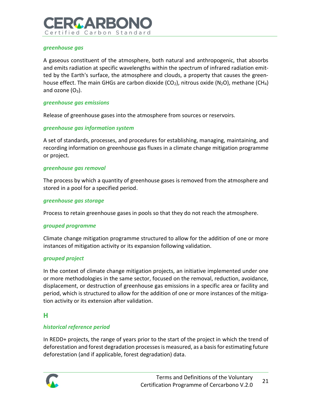# IN A PR Certified Carbon Standard

## *greenhouse gas*

A gaseous constituent of the atmosphere, both natural and anthropogenic, that absorbs and emits radiation at specific wavelengths within the spectrum of infrared radiation emitted by the Earth's surface, the atmosphere and clouds, a property that causes the greenhouse effect. The main GHGs are carbon dioxide (CO<sub>2</sub>), nitrous oxide (N<sub>2</sub>O), methane (CH<sub>4</sub>) and ozone  $(O_3)$ .

### *greenhouse gas emissions*

Release of greenhouse gases into the atmosphere from sources or reservoirs.

## *greenhouse gas information system*

A set of standards, processes, and procedures for establishing, managing, maintaining, and recording information on greenhouse gas fluxes in a climate change mitigation programme or project.

#### *greenhouse gas removal*

The process by which a quantity of greenhouse gases is removed from the atmosphere and stored in a pool for a specified period.

### *greenhouse gas storage*

Process to retain greenhouse gases in pools so that they do not reach the atmosphere.

#### *grouped programme*

Climate change mitigation programme structured to allow for the addition of one or more instances of mitigation activity or its expansion following validation.

## *grouped project*

In the context of climate change mitigation projects, an initiative implemented under one or more methodologies in the same sector, focused on the removal, reduction, avoidance, displacement, or destruction of greenhouse gas emissions in a specific area or facility and period, which is structured to allow for the addition of one or more instances of the mitigation activity or its extension after validation.

## **H**

## *historical reference period*

In REDD+ projects, the range of years prior to the start of the project in which the trend of deforestation and forest degradation processes is measured, as a basis for estimating future deforestation (and if applicable, forest degradation) data.

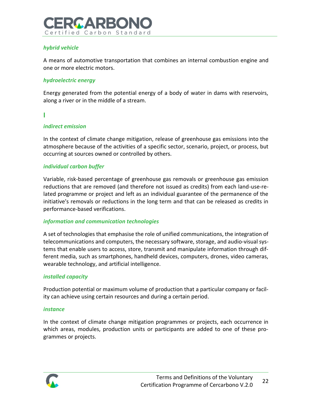

## *hybrid vehicle*

A means of automotive transportation that combines an internal combustion engine and one or more electric motors.

## *hydroelectric energy*

Energy generated from the potential energy of a body of water in dams with reservoirs, along a river or in the middle of a stream.

### **I**

## *indirect emission*

In the context of climate change mitigation, release of greenhouse gas emissions into the atmosphere because of the activities of a specific sector, scenario, project, or process, but occurring at sources owned or controlled by others.

## *individual carbon buffer*

Variable, risk-based percentage of greenhouse gas removals or greenhouse gas emission reductions that are removed (and therefore not issued as credits) from each land-use-related programme or project and left as an individual guarantee of the permanence of the initiative's removals or reductions in the long term and that can be released as credits in performance-based verifications.

## *information and communication technologies*

A set of technologies that emphasise the role of unified communications, the integration of telecommunications and computers, the necessary software, storage, and audio-visual systems that enable users to access, store, transmit and manipulate information through different media, such as smartphones, handheld devices, computers, drones, video cameras, wearable technology, and artificial intelligence.

## *installed capacity*

Production potential or maximum volume of production that a particular company or facility can achieve using certain resources and during a certain period.

#### *instance*

In the context of climate change mitigation programmes or projects, each occurrence in which areas, modules, production units or participants are added to one of these programmes or projects.

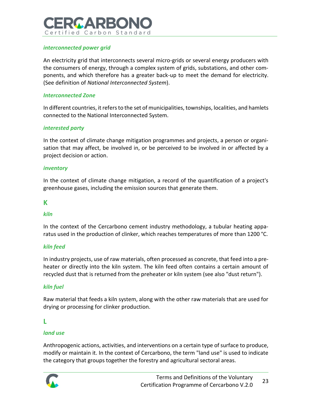# PG A PR Certified Carbon Standard

## *interconnected power grid*

An electricity grid that interconnects several micro-grids or several energy producers with the consumers of energy, through a complex system of grids, substations, and other components, and which therefore has a greater back-up to meet the demand for electricity. (See definition of *National Interconnected System*).

## *Interconnected Zone*

In different countries, it refers to the set of municipalities, townships, localities, and hamlets connected to the National Interconnected System.

## *interested party*

In the context of climate change mitigation programmes and projects, a person or organisation that may affect, be involved in, or be perceived to be involved in or affected by a project decision or action.

## *inventory*

In the context of climate change mitigation, a record of the quantification of a project's greenhouse gases, including the emission sources that generate them.

## **K**

## *kiln*

In the context of the Cercarbono cement industry methodology, a tubular heating apparatus used in the production of clinker, which reaches temperatures of more than 1200 °C.

## *kiln feed*

In industry projects, use of raw materials, often processed as concrete, that feed into a preheater or directly into the kiln system. The kiln feed often contains a certain amount of recycled dust that is returned from the preheater or kiln system (see also "dust return").

## *kiln fuel*

Raw material that feeds a kiln system, along with the other raw materials that are used for drying or processing for clinker production.

## **L**

## *land use*

Anthropogenic actions, activities, and interventions on a certain type of surface to produce, modify or maintain it. In the context of Cercarbono, the term "land use" is used to indicate the category that groups together the forestry and agricultural sectoral areas.

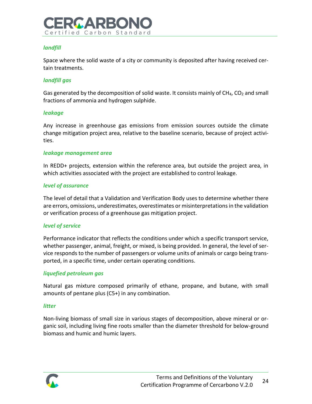

## *landfill*

Space where the solid waste of a city or community is deposited after having received certain treatments.

## *landfill gas*

Gas generated by the decomposition of solid waste. It consists mainly of  $CH_4$ ,  $CO_2$  and small fractions of ammonia and hydrogen sulphide.

### *leakage*

Any increase in greenhouse gas emissions from emission sources outside the climate change mitigation project area, relative to the baseline scenario, because of project activities.

#### *leakage management area*

In REDD+ projects, extension within the reference area, but outside the project area, in which activities associated with the project are established to control leakage.

### *level of assurance*

The level of detail that a Validation and Verification Body uses to determine whether there are errors, omissions, underestimates, overestimates or misinterpretations in the validation or verification process of a greenhouse gas mitigation project.

## *level of service*

Performance indicator that reflects the conditions under which a specific transport service, whether passenger, animal, freight, or mixed, is being provided. In general, the level of service responds to the number of passengers or volume units of animals or cargo being transported, in a specific time, under certain operating conditions.

## *liquefied petroleum gas*

Natural gas mixture composed primarily of ethane, propane, and butane, with small amounts of pentane plus (C5+) in any combination.

#### *litter*

Non-living biomass of small size in various stages of decomposition, above mineral or organic soil, including living fine roots smaller than the diameter threshold for below-ground biomass and humic and humic layers.

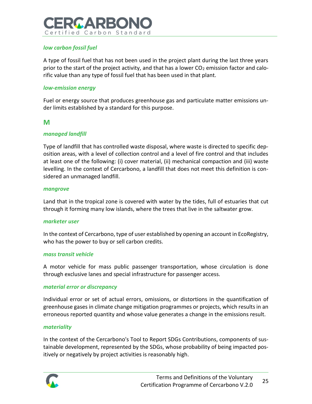# IN A PIEC Certified Carbon Standard

## *low carbon fossil fuel*

A type of fossil fuel that has not been used in the project plant during the last three years prior to the start of the project activity, and that has a lower  $CO<sub>2</sub>$  emission factor and calorific value than any type of fossil fuel that has been used in that plant.

### *low-emission energy*

Fuel or energy source that produces greenhouse gas and particulate matter emissions under limits established by a standard for this purpose.

## **M**

### *managed landfill*

Type of landfill that has controlled waste disposal, where waste is directed to specific deposition areas, with a level of collection control and a level of fire control and that includes at least one of the following: (i) cover material, (ii) mechanical compaction and (iii) waste levelling. In the context of Cercarbono, a landfill that does not meet this definition is considered an unmanaged landfill.

#### *mangrove*

Land that in the tropical zone is covered with water by the tides, full of estuaries that cut through it forming many low islands, where the trees that live in the saltwater grow.

#### *marketer user*

In the context of Cercarbono, type of user established by opening an account in EcoRegistry, who has the power to buy or sell carbon credits.

#### *mass transit vehicle*

A motor vehicle for mass public passenger transportation, whose circulation is done through exclusive lanes and special infrastructure for passenger access.

#### *material error or discrepancy*

Individual error or set of actual errors, omissions, or distortions in the quantification of greenhouse gases in climate change mitigation programmes or projects, which results in an erroneous reported quantity and whose value generates a change in the emissions result.

#### *materiality*

In the context of the Cercarbono's Tool to Report SDGs Contributions, components of sustainable development, represented by the SDGs, whose probability of being impacted positively or negatively by project activities is reasonably high.

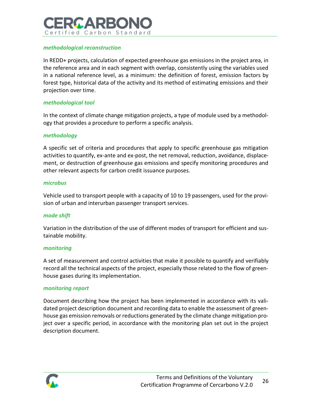# IN A PR Certified Carbon Standard

## *methodological reconstruction*

In REDD+ projects, calculation of expected greenhouse gas emissions in the project area, in the reference area and in each segment with overlap, consistently using the variables used in a national reference level, as a minimum: the definition of forest, emission factors by forest type, historical data of the activity and its method of estimating emissions and their projection over time.

### *methodological tool*

In the context of climate change mitigation projects, a type of module used by a methodology that provides a procedure to perform a specific analysis.

#### *methodology*

A specific set of criteria and procedures that apply to specific greenhouse gas mitigation activities to quantify, ex-ante and ex-post, the net removal, reduction, avoidance, displacement, or destruction of greenhouse gas emissions and specify monitoring procedures and other relevant aspects for carbon credit issuance purposes.

#### *microbus*

Vehicle used to transport people with a capacity of 10 to 19 passengers, used for the provision of urban and interurban passenger transport services.

#### *mode shift*

Variation in the distribution of the use of different modes of transport for efficient and sustainable mobility.

#### *monitoring*

A set of measurement and control activities that make it possible to quantify and verifiably record all the technical aspects of the project, especially those related to the flow of greenhouse gases during its implementation.

#### *monitoring report*

Document describing how the project has been implemented in accordance with its validated project description document and recording data to enable the assessment of greenhouse gas emission removals or reductions generated by the climate change mitigation project over a specific period, in accordance with the monitoring plan set out in the project description document.

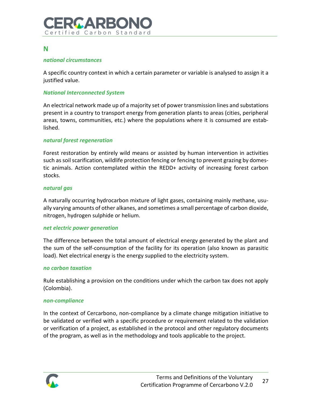

## **N**

## *national circumstances*

A specific country context in which a certain parameter or variable is analysed to assign it a justified value.

### *National Interconnected System*

An electrical network made up of a majority set of power transmission lines and substations present in a country to transport energy from generation plants to areas (cities, peripheral areas, towns, communities, etc.) where the populations where it is consumed are established.

### *natural forest regeneration*

Forest restoration by entirely wild means or assisted by human intervention in activities such as soil scarification, wildlife protection fencing or fencing to prevent grazing by domestic animals. Action contemplated within the REDD+ activity of increasing forest carbon stocks.

#### *natural gas*

A naturally occurring hydrocarbon mixture of light gases, containing mainly methane, usually varying amounts of other alkanes, and sometimes a small percentage of carbon dioxide, nitrogen, hydrogen sulphide or helium.

#### *net electric power generation*

The difference between the total amount of electrical energy generated by the plant and the sum of the self-consumption of the facility for its operation (also known as parasitic load). Net electrical energy is the energy supplied to the electricity system.

## *no carbon taxation*

Rule establishing a provision on the conditions under which the carbon tax does not apply (Colombia).

#### *non-compliance*

In the context of Cercarbono, non-compliance by a climate change mitigation initiative to be validated or verified with a specific procedure or requirement related to the validation or verification of a project, as established in the protocol and other regulatory documents of the program, as well as in the methodology and tools applicable to the project.

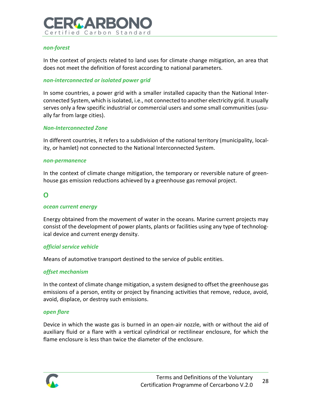

#### *non-forest*

In the context of projects related to land uses for climate change mitigation, an area that does not meet the definition of forest according to national parameters.

#### *non-interconnected or isolated power grid*

In some countries, a power grid with a smaller installed capacity than the National Interconnected System, which is isolated, i.e., not connected to another electricity grid. It usually serves only a few specific industrial or commercial users and some small communities (usually far from large cities).

#### *Non-Interconnected Zone*

In different countries, it refers to a subdivision of the national territory (municipality, locality, or hamlet) not connected to the National Interconnected System.

#### *non-permanence*

In the context of climate change mitigation, the temporary or reversible nature of greenhouse gas emission reductions achieved by a greenhouse gas removal project.

## **O**

#### *ocean current energy*

Energy obtained from the movement of water in the oceans. Marine current projects may consist of the development of power plants, plants or facilities using any type of technological device and current energy density.

#### *official service vehicle*

Means of automotive transport destined to the service of public entities.

#### *offset mechanism*

In the context of climate change mitigation, a system designed to offset the greenhouse gas emissions of a person, entity or project by financing activities that remove, reduce, avoid, avoid, displace, or destroy such emissions.

#### *open flare*

Device in which the waste gas is burned in an open-air nozzle, with or without the aid of auxiliary fluid or a flare with a vertical cylindrical or rectilinear enclosure, for which the flame enclosure is less than twice the diameter of the enclosure.

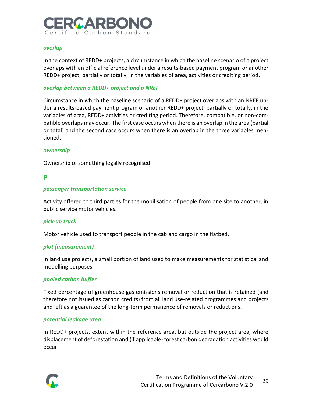# IMA PEO Certified Carbon Standard

#### *overlap*

In the context of REDD+ projects, a circumstance in which the baseline scenario of a project overlaps with an official reference level under a results-based payment program or another REDD+ project, partially or totally, in the variables of area, activities or crediting period.

### *overlap between a REDD+ project and a NREF*

Circumstance in which the baseline scenario of a REDD+ project overlaps with an NREF under a results-based payment program or another REDD+ project, partially or totally, in the variables of area, REDD+ activities or crediting period. Therefore, compatible, or non-compatible overlaps may occur. The first case occurs when there is an overlap in the area (partial or total) and the second case occurs when there is an overlap in the three variables mentioned.

### *ownership*

Ownership of something legally recognised.

## **P**

### *passenger transportation service*

Activity offered to third parties for the mobilisation of people from one site to another, in public service motor vehicles.

## *pick-up truck*

Motor vehicle used to transport people in the cab and cargo in the flatbed.

## *plot (measurement)*

In land use projects, a small portion of land used to make measurements for statistical and modelling purposes.

## *pooled carbon buffer*

Fixed percentage of greenhouse gas emissions removal or reduction that is retained (and therefore not issued as carbon credits) from all land use-related programmes and projects and left as a guarantee of the long-term permanence of removals or reductions.

#### *potential leakage area*

In REDD+ projects, extent within the reference area, but outside the project area, where displacement of deforestation and (if applicable) forest carbon degradation activities would occur.

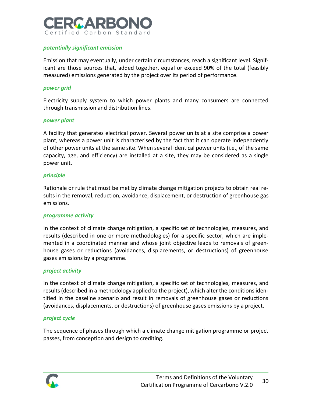# 20 A P.R Certified Carbon Standard

## *potentially significant emission*

Emission that may eventually, under certain circumstances, reach a significant level. Significant are those sources that, added together, equal or exceed 90% of the total (feasibly measured) emissions generated by the project over its period of performance.

#### *power grid*

Electricity supply system to which power plants and many consumers are connected through transmission and distribution lines.

#### *power plant*

A facility that generates electrical power. Several power units at a site comprise a power plant, whereas a power unit is characterised by the fact that it can operate independently of other power units at the same site. When several identical power units (i.e., of the same capacity, age, and efficiency) are installed at a site, they may be considered as a single power unit.

#### *principle*

Rationale or rule that must be met by climate change mitigation projects to obtain real results in the removal, reduction, avoidance, displacement, or destruction of greenhouse gas emissions.

#### *programme activity*

In the context of climate change mitigation, a specific set of technologies, measures, and results (described in one or more methodologies) for a specific sector, which are implemented in a coordinated manner and whose joint objective leads to removals of greenhouse gases or reductions (avoidances, displacements, or destructions) of greenhouse gases emissions by a programme.

#### *project activity*

In the context of climate change mitigation, a specific set of technologies, measures, and results (described in a methodology applied to the project), which alter the conditions identified in the baseline scenario and result in removals of greenhouse gases or reductions (avoidances, displacements, or destructions) of greenhouse gases emissions by a project.

#### *project cycle*

The sequence of phases through which a climate change mitigation programme or project passes, from conception and design to crediting.

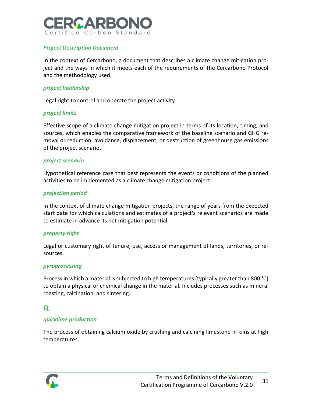# IA A PR Certified Carbon Standard

## *Project Description Document*

In the context of Cercarbono, a document that describes a climate change mitigation project and the ways in which it meets each of the requirements of the Cercarbono Protocol and the methodology used.

#### *project holdership*

Legal right to control and operate the project activity.

### *project limits*

Effective scope of a climate change mitigation project in terms of its location, timing, and sources, which enables the comparative framework of the baseline scenario and GHG removal or reduction, avoidance, displacement, or destruction of greenhouse gas emissions of the project scenario.

#### *project scenario*

Hypothetical reference case that best represents the events or conditions of the planned activities to be implemented as a climate change mitigation project.

### *projection period*

In the context of climate change mitigation projects, the range of years from the expected start date for which calculations and estimates of a project's relevant scenarios are made to estimate in advance its net mitigation potential.

#### *property right*

Legal or customary right of tenure, use, access or management of lands, territories, or resources.

#### *pyroprocessing*

Process in which a material is subjected to high temperatures (typically greater than 800 °C) to obtain a physical or chemical change in the material. Includes processes such as mineral roasting, calcination, and sintering.

## **Q**

## *quicklime production*

The process of obtaining calcium oxide by crushing and calcining limestone in kilns at high temperatures.

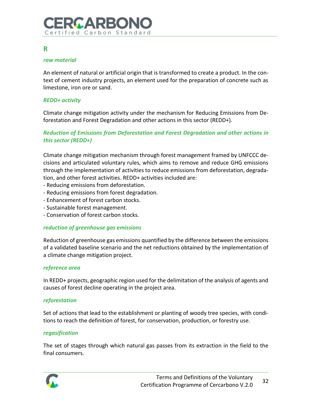## **R**

## *raw material*

An element of natural or artificial origin that is transformed to create a product. In the context of cement industry projects, an element used for the preparation of concrete such as limestone, iron ore or sand.

## *REDD+ activity*

Climate change mitigation activity under the mechanism for Reducing Emissions from Deforestation and Forest Degradation and other actions in this sector (REDD+).

## *Reduction of Emissions from Deforestation and Forest Degradation and other actions in this sector (REDD+)*

Climate change mitigation mechanism through forest management framed by UNFCCC decisions and articulated voluntary rules, which aims to remove and reduce GHG emissions through the implementation of activities to reduce emissions from deforestation, degradation, and other forest activities. REDD+ activities included are:

- Reducing emissions from deforestation.
- Reducing emissions from forest degradation.
- Enhancement of forest carbon stocks.
- Sustainable forest management.
- Conservation of forest carbon stocks.

## *reduction of greenhouse gas emissions*

Reduction of greenhouse gas emissions quantified by the difference between the emissions of a validated baseline scenario and the net reductions obtained by the implementation of a climate change mitigation project.

## *reference area*

In REDD+ projects, geographic region used for the delimitation of the analysis of agents and causes of forest decline operating in the project area.

## *reforestation*

Set of actions that lead to the establishment or planting of woody tree species, with conditions to reach the definition of forest, for conservation, production, or forestry use.

## *regasification*

The set of stages through which natural gas passes from its extraction in the field to the final consumers.

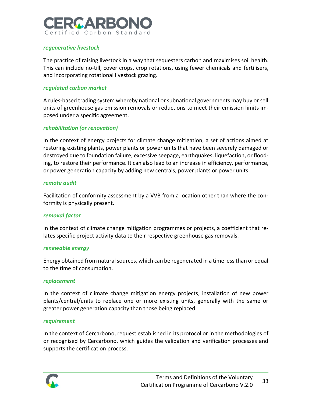# IA A PR Certified Carbon Standard

## *regenerative livestock*

The practice of raising livestock in a way that sequesters carbon and maximises soil health. This can include no-till, cover crops, crop rotations, using fewer chemicals and fertilisers, and incorporating rotational livestock grazing.

### *regulated carbon market*

A rules-based trading system whereby national or subnational governments may buy or sell units of greenhouse gas emission removals or reductions to meet their emission limits imposed under a specific agreement.

## *rehabilitation (or renovation)*

In the context of energy projects for climate change mitigation, a set of actions aimed at restoring existing plants, power plants or power units that have been severely damaged or destroyed due to foundation failure, excessive seepage, earthquakes, liquefaction, or flooding, to restore their performance. It can also lead to an increase in efficiency, performance, or power generation capacity by adding new centrals, power plants or power units.

#### *remote audit*

Facilitation of conformity assessment by a VVB from a location other than where the conformity is physically present.

## *removal factor*

In the context of climate change mitigation programmes or projects, a coefficient that relates specific project activity data to their respective greenhouse gas removals.

#### *renewable energy*

Energy obtained from natural sources, which can be regenerated in a time less than or equal to the time of consumption.

#### *replacement*

In the context of climate change mitigation energy projects, installation of new power plants/central/units to replace one or more existing units, generally with the same or greater power generation capacity than those being replaced.

#### *requirement*

In the context of Cercarbono, request established in its protocol or in the methodologies of or recognised by Cercarbono, which guides the validation and verification processes and supports the certification process.

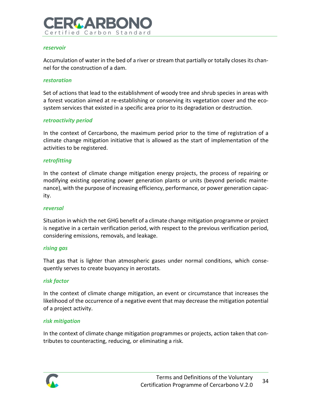

#### *reservoir*

Accumulation of water in the bed of a river or stream that partially or totally closes its channel for the construction of a dam.

#### *restoration*

Set of actions that lead to the establishment of woody tree and shrub species in areas with a forest vocation aimed at re-establishing or conserving its vegetation cover and the ecosystem services that existed in a specific area prior to its degradation or destruction.

#### *retroactivity period*

In the context of Cercarbono, the maximum period prior to the time of registration of a climate change mitigation initiative that is allowed as the start of implementation of the activities to be registered.

#### *retrofitting*

In the context of climate change mitigation energy projects, the process of repairing or modifying existing operating power generation plants or units (beyond periodic maintenance), with the purpose of increasing efficiency, performance, or power generation capacity.

#### *reversal*

Situation in which the net GHG benefit of a climate change mitigation programme or project is negative in a certain verification period, with respect to the previous verification period, considering emissions, removals, and leakage.

#### *rising gas*

That gas that is lighter than atmospheric gases under normal conditions, which consequently serves to create buoyancy in aerostats.

#### *risk factor*

In the context of climate change mitigation, an event or circumstance that increases the likelihood of the occurrence of a negative event that may decrease the mitigation potential of a project activity.

#### *risk mitigation*

In the context of climate change mitigation programmes or projects, action taken that contributes to counteracting, reducing, or eliminating a risk.

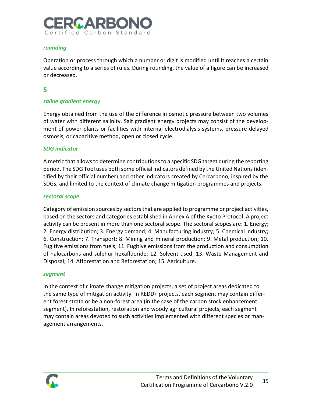# IC A RRI Certified Carbon Standard

## *rounding*

Operation or process through which a number or digit is modified until it reaches a certain value according to a series of rules. During rounding, the value of a figure can be increased or decreased.

## **S**

## *saline gradient energy*

Energy obtained from the use of the difference in osmotic pressure between two volumes of water with different salinity. Salt gradient energy projects may consist of the development of power plants or facilities with internal electrodialysis systems, pressure-delayed osmosis, or capacitive method, open or closed cycle.

### *SDG indicator*

A metric that allows to determine contributions to a specific SDG target during the reporting period. The SDG Tool uses both some official indicators defined by the United Nations (identified by their official number) and other indicators created by Cercarbono, inspired by the SDGs, and limited to the context of climate change mitigation programmes and projects.

#### *sectoral scope*

Category of emission sources by sectors that are applied to programme or project activities, based on the sectors and categories established in Annex A of the Kyoto Protocol. A project activity can be present in more than one sectoral scope. The sectoral scopes are: 1. Energy; 2. Energy distribution; 3. Energy demand; 4. Manufacturing industry; 5. Chemical industry; 6. Construction; 7. Transport; 8. Mining and mineral production; 9. Metal production; 10. Fugitive emissions from fuels; 11. Fugitive emissions from the production and consumption of halocarbons and sulphur hexafluoride; 12. Solvent used; 13. Waste Management and Disposal; 14. Afforestation and Reforestation; 15. Agriculture.

#### *segment*

In the context of climate change mitigation projects, a set of project areas dedicated to the same type of mitigation activity. In REDD+ projects, each segment may contain different forest strata or be a non-forest area (in the case of the carbon stock enhancement segment). In reforestation, restoration and woody agricultural projects, each segment may contain areas devoted to such activities implemented with different species or management arrangements.

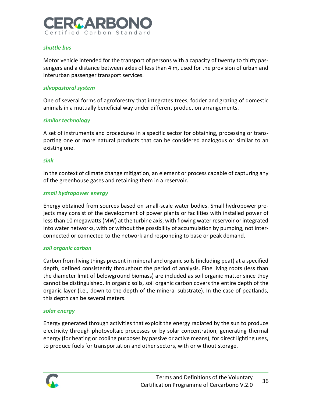# **GARR** Certified Carbon Standard

## *shuttle bus*

Motor vehicle intended for the transport of persons with a capacity of twenty to thirty passengers and a distance between axles of less than 4 m, used for the provision of urban and interurban passenger transport services.

### *silvopastoral system*

One of several forms of agroforestry that integrates trees, fodder and grazing of domestic animals in a mutually beneficial way under different production arrangements.

### *similar technology*

A set of instruments and procedures in a specific sector for obtaining, processing or transporting one or more natural products that can be considered analogous or similar to an existing one.

#### *sink*

In the context of climate change mitigation, an element or process capable of capturing any of the greenhouse gases and retaining them in a reservoir.

### *small hydropower energy*

Energy obtained from sources based on small-scale water bodies. Small hydropower projects may consist of the development of power plants or facilities with installed power of less than 10 megawatts (MW) at the turbine axis; with flowing water reservoir or integrated into water networks, with or without the possibility of accumulation by pumping, not interconnected or connected to the network and responding to base or peak demand.

#### *soil organic carbon*

Carbon from living things present in mineral and organic soils (including peat) at a specified depth, defined consistently throughout the period of analysis. Fine living roots (less than the diameter limit of belowground biomass) are included as soil organic matter since they cannot be distinguished. In organic soils, soil organic carbon covers the entire depth of the organic layer (i.e., down to the depth of the mineral substrate). In the case of peatlands, this depth can be several meters.

#### *solar energy*

Energy generated through activities that exploit the energy radiated by the sun to produce electricity through photovoltaic processes or by solar concentration, generating thermal energy (for heating or cooling purposes by passive or active means), for direct lighting uses, to produce fuels for transportation and other sectors, with or without storage.

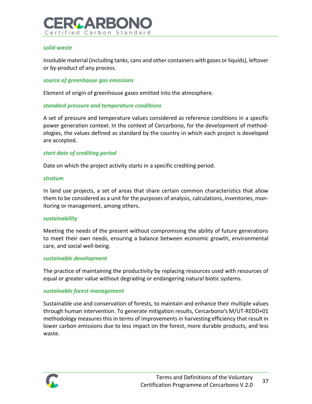

### *solid waste*

Insoluble material (including tanks, cans and other containers with gases or liquids), leftover or by-product of any process.

#### *source of greenhouse gas emissions*

Element of origin of greenhouse gases emitted into the atmosphere.

#### *standard pressure and temperature conditions*

A set of pressure and temperature values considered as reference conditions in a specific power generation context. In the context of Cercarbono, for the development of methodologies, the values defined as standard by the country in which each project is developed are accepted.

#### *start date of crediting period*

Date on which the project activity starts in a specific crediting period.

#### *stratum*

In land use projects, a set of areas that share certain common characteristics that allow them to be considered as a unit for the purposes of analysis, calculations, inventories, monitoring or management, among others.

#### *sustainability*

Meeting the needs of the present without compromising the ability of future generations to meet their own needs, ensuring a balance between economic growth, environmental care, and social well-being.

#### *sustainable development*

The practice of maintaining the productivity by replacing resources used with resources of equal or greater value without degrading or endangering natural biotic systems.

#### *sustainable forest management*

Sustainable use and conservation of forests, to maintain and enhance their multiple values through human intervention. To generate mitigation results, Cercarbono's M/UT-REDD+01 methodology measures this in terms of improvements in harvesting efficiency that result in lower carbon emissions due to less impact on the forest, more durable products, and less waste.

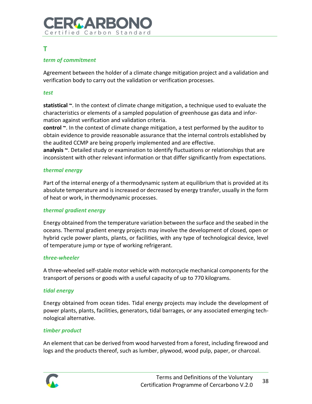# 200 A R R Certified Carbon Standard

## **T**

## *term of commitment*

Agreement between the holder of a climate change mitigation project and a validation and verification body to carry out the validation or verification processes.

## *test*

**statistical ~**. In the context of climate change mitigation, a technique used to evaluate the characteristics or elements of a sampled population of greenhouse gas data and information against verification and validation criteria.

**control ~**. In the context of climate change mitigation, a test performed by the auditor to obtain evidence to provide reasonable assurance that the internal controls established by the audited CCMP are being properly implemented and are effective.

**analysis ~**. Detailed study or examination to identify fluctuations or relationships that are inconsistent with other relevant information or that differ significantly from expectations.

## *thermal energy*

Part of the internal energy of a thermodynamic system at equilibrium that is provided at its absolute temperature and is increased or decreased by energy transfer, usually in the form of heat or work, in thermodynamic processes.

## *thermal gradient energy*

Energy obtained from the temperature variation between the surface and the seabed in the oceans. Thermal gradient energy projects may involve the development of closed, open or hybrid cycle power plants, plants, or facilities, with any type of technological device, level of temperature jump or type of working refrigerant.

#### *three-wheeler*

A three-wheeled self-stable motor vehicle with motorcycle mechanical components for the transport of persons or goods with a useful capacity of up to 770 kilograms.

## *tidal energy*

Energy obtained from ocean tides. Tidal energy projects may include the development of power plants, plants, facilities, generators, tidal barrages, or any associated emerging technological alternative.

## *timber product*

An element that can be derived from wood harvested from a forest, including firewood and logs and the products thereof, such as lumber, plywood, wood pulp, paper, or charcoal.

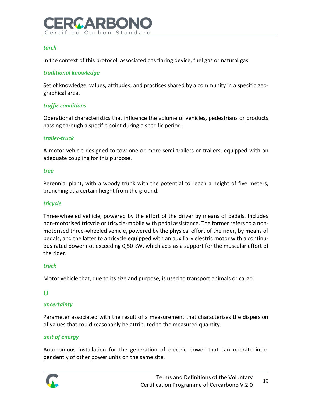

#### *torch*

In the context of this protocol, associated gas flaring device, fuel gas or natural gas.

### *traditional knowledge*

Set of knowledge, values, attitudes, and practices shared by a community in a specific geographical area.

### *traffic conditions*

Operational characteristics that influence the volume of vehicles, pedestrians or products passing through a specific point during a specific period.

#### *trailer-truck*

A motor vehicle designed to tow one or more semi-trailers or trailers, equipped with an adequate coupling for this purpose.

#### *tree*

Perennial plant, with a woody trunk with the potential to reach a height of five meters, branching at a certain height from the ground.

#### *tricycle*

Three-wheeled vehicle, powered by the effort of the driver by means of pedals. Includes non-motorised tricycle or tricycle-mobile with pedal assistance. The former refers to a nonmotorised three-wheeled vehicle, powered by the physical effort of the rider, by means of pedals, and the latter to a tricycle equipped with an auxiliary electric motor with a continuous rated power not exceeding 0,50 kW, which acts as a support for the muscular effort of the rider.

#### *truck*

Motor vehicle that, due to its size and purpose, is used to transport animals or cargo.

## **U**

## *uncertainty*

Parameter associated with the result of a measurement that characterises the dispersion of values that could reasonably be attributed to the measured quantity.

#### *unit of energy*

Autonomous installation for the generation of electric power that can operate independently of other power units on the same site.

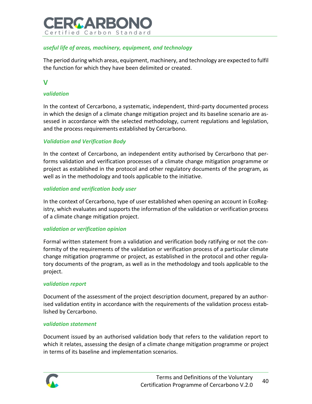

## *useful life of areas, machinery, equipment, and technology*

The period during which areas, equipment, machinery, and technology are expected to fulfil the function for which they have been delimited or created.

## **V**

## *validation*

In the context of Cercarbono, a systematic, independent, third-party documented process in which the design of a climate change mitigation project and its baseline scenario are assessed in accordance with the selected methodology, current regulations and legislation, and the process requirements established by Cercarbono.

## *Validation and Verification Body*

In the context of Cercarbono, an independent entity authorised by Cercarbono that performs validation and verification processes of a climate change mitigation programme or project as established in the protocol and other regulatory documents of the program, as well as in the methodology and tools applicable to the initiative.

### *validation and verification body user*

In the context of Cercarbono, type of user established when opening an account in EcoRegistry, which evaluates and supports the information of the validation or verification process of a climate change mitigation project.

## *validation or verification opinion*

Formal written statement from a validation and verification body ratifying or not the conformity of the requirements of the validation or verification process of a particular climate change mitigation programme or project, as established in the protocol and other regulatory documents of the program, as well as in the methodology and tools applicable to the project.

#### *validation report*

Document of the assessment of the project description document, prepared by an authorised validation entity in accordance with the requirements of the validation process established by Cercarbono.

#### *validation statement*

Document issued by an authorised validation body that refers to the validation report to which it relates, assessing the design of a climate change mitigation programme or project in terms of its baseline and implementation scenarios.

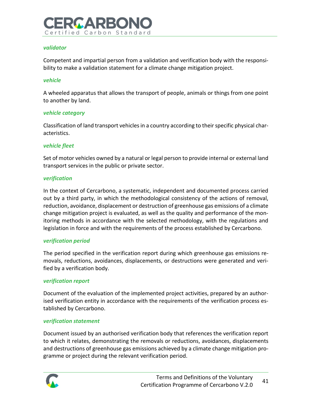

#### *validator*

Competent and impartial person from a validation and verification body with the responsibility to make a validation statement for a climate change mitigation project.

#### *vehicle*

A wheeled apparatus that allows the transport of people, animals or things from one point to another by land.

#### *vehicle category*

Classification of land transport vehicles in a country according to their specific physical characteristics.

### *vehicle fleet*

Set of motor vehicles owned by a natural or legal person to provide internal or external land transport services in the public or private sector.

### *verification*

In the context of Cercarbono, a systematic, independent and documented process carried out by a third party, in which the methodological consistency of the actions of removal, reduction, avoidance, displacement or destruction of greenhouse gas emissions of a climate change mitigation project is evaluated, as well as the quality and performance of the monitoring methods in accordance with the selected methodology, with the regulations and legislation in force and with the requirements of the process established by Cercarbono.

#### *verification period*

The period specified in the verification report during which greenhouse gas emissions removals, reductions, avoidances, displacements, or destructions were generated and verified by a verification body.

## *verification report*

Document of the evaluation of the implemented project activities, prepared by an authorised verification entity in accordance with the requirements of the verification process established by Cercarbono.

#### *verification statement*

Document issued by an authorised verification body that references the verification report to which it relates, demonstrating the removals or reductions, avoidances, displacements and destructions of greenhouse gas emissions achieved by a climate change mitigation programme or project during the relevant verification period.

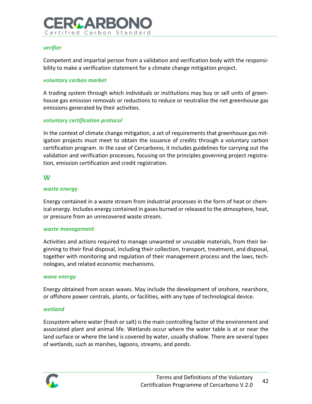

### *verifier*

Competent and impartial person from a validation and verification body with the responsibility to make a verification statement for a climate change mitigation project.

#### *voluntary carbon market*

A trading system through which individuals or institutions may buy or sell units of greenhouse gas emission removals or reductions to reduce or neutralise the net greenhouse gas emissions generated by their activities.

### *voluntary certification protocol*

In the context of climate change mitigation, a set of requirements that greenhouse gas mitigation projects must meet to obtain the issuance of credits through a voluntary carbon certification program. In the case of Cercarbono, it includes guidelines for carrying out the validation and verification processes, focusing on the principles governing project registration, emission certification and credit registration.

## **W**

#### *waste energy*

Energy contained in a waste stream from industrial processes in the form of heat or chemical energy. Includes energy contained in gases burned or released to the atmosphere, heat, or pressure from an unrecovered waste stream.

#### *waste management*

Activities and actions required to manage unwanted or unusable materials, from their beginning to their final disposal, including their collection, transport, treatment, and disposal, together with monitoring and regulation of their management process and the laws, technologies, and related economic mechanisms.

#### *wave energy*

Energy obtained from ocean waves. May include the development of onshore, nearshore, or offshore power centrals, plants, or facilities, with any type of technological device.

#### *wetland*

Ecosystem where water (fresh or salt) is the main controlling factor of the environment and associated plant and animal life. Wetlands occur where the water table is at or near the land surface or where the land is covered by water, usually shallow. There are several types of wetlands, such as marshes, lagoons, streams, and ponds.

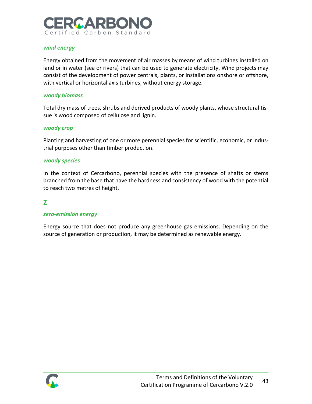# RGARBOI Certified Carbon Standard

## *wind energy*

Energy obtained from the movement of air masses by means of wind turbines installed on land or in water (sea or rivers) that can be used to generate electricity. Wind projects may consist of the development of power centrals, plants, or installations onshore or offshore, with vertical or horizontal axis turbines, without energy storage.

#### *woody biomass*

Total dry mass of trees, shrubs and derived products of woody plants, whose structural tissue is wood composed of cellulose and lignin.

#### *woody crop*

Planting and harvesting of one or more perennial species for scientific, economic, or industrial purposes other than timber production.

#### *woody species*

In the context of Cercarbono, perennial species with the presence of shafts or stems branched from the base that have the hardness and consistency of wood with the potential to reach two metres of height.

## **Z**

#### *zero-emission energy*

Energy source that does not produce any greenhouse gas emissions. Depending on the source of generation or production, it may be determined as renewable energy.